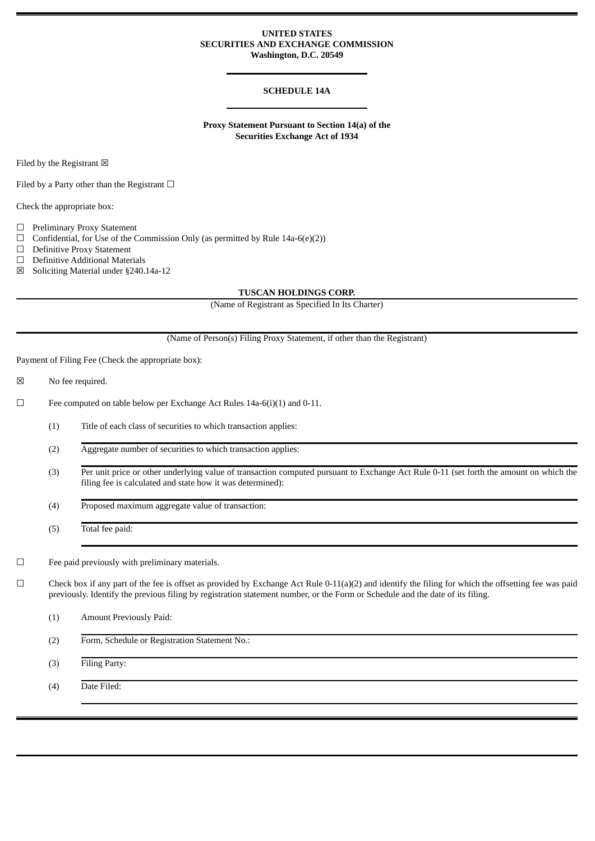# **UNITED STATES SECURITIES AND EXCHANGE COMMISSION Washington, D.C. 20549**

# **SCHEDULE 14A**

# **Proxy Statement Pursuant to Section 14(a) of the Securities Exchange Act of 1934**

Filed by the Registrant  $\boxtimes$ 

Filed by a Party other than the Registrant  $\Box$ 

Check the appropriate box:

☐ Preliminary Proxy Statement

 $\Box$  Confidential, for Use of the Commission Only (as permitted by Rule 14a-6(e)(2))

☐ Definitive Proxy Statement

☐ Definitive Additional Materials

☒ Soliciting Material under §240.14a-12

## **TUSCAN HOLDINGS CORP.**

(Name of Registrant as Specified In Its Charter)

(Name of Person(s) Filing Proxy Statement, if other than the Registrant)

Payment of Filing Fee (Check the appropriate box):

☒ No fee required.

 $\Box$  Fee computed on table below per Exchange Act Rules 14a-6(i)(1) and 0-11.

(1) Title of each class of securities to which transaction applies:

(2) Aggregate number of securities to which transaction applies:

(3) Per unit price or other underlying value of transaction computed pursuant to Exchange Act Rule 0-11 (set forth the amount on which the filing fee is calculated and state how it was determined):

(4) Proposed maximum aggregate value of transaction:

(5) Total fee paid:

☐ Fee paid previously with preliminary materials.

☐ Check box if any part of the fee is offset as provided by Exchange Act Rule 0-11(a)(2) and identify the filing for which the offsetting fee was paid previously. Identify the previous filing by registration statement number, or the Form or Schedule and the date of its filing.

(1) Amount Previously Paid:

(2) Form, Schedule or Registration Statement No.: (3) Filing Party: (4) Date Filed: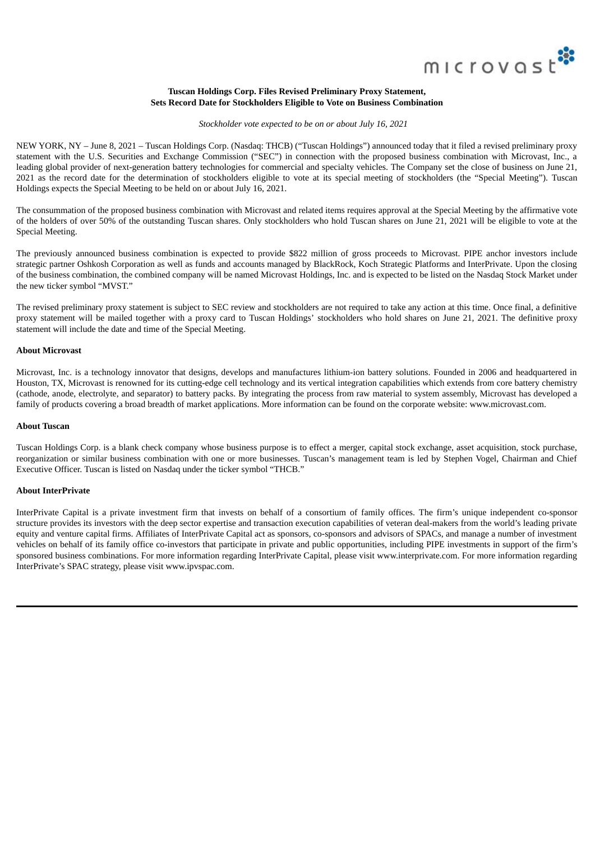

# **Tuscan Holdings Corp. Files Revised Preliminary Proxy Statement, Sets Record Date for Stockholders Eligible to Vote on Business Combination**

### *Stockholder vote expected to be on or about July 16, 2021*

NEW YORK, NY – June 8, 2021 – Tuscan Holdings Corp. (Nasdaq: THCB) ("Tuscan Holdings") announced today that it filed a revised preliminary proxy statement with the U.S. Securities and Exchange Commission ("SEC") in connection with the proposed business combination with Microvast, Inc., a leading global provider of next-generation battery technologies for commercial and specialty vehicles. The Company set the close of business on June 21, 2021 as the record date for the determination of stockholders eligible to vote at its special meeting of stockholders (the "Special Meeting"). Tuscan Holdings expects the Special Meeting to be held on or about July 16, 2021.

The consummation of the proposed business combination with Microvast and related items requires approval at the Special Meeting by the affirmative vote of the holders of over 50% of the outstanding Tuscan shares. Only stockholders who hold Tuscan shares on June 21, 2021 will be eligible to vote at the Special Meeting.

The previously announced business combination is expected to provide \$822 million of gross proceeds to Microvast. PIPE anchor investors include strategic partner Oshkosh Corporation as well as funds and accounts managed by BlackRock, Koch Strategic Platforms and InterPrivate. Upon the closing of the business combination, the combined company will be named Microvast Holdings, Inc. and is expected to be listed on the Nasdaq Stock Market under the new ticker symbol "MVST."

The revised preliminary proxy statement is subject to SEC review and stockholders are not required to take any action at this time. Once final, a definitive proxy statement will be mailed together with a proxy card to Tuscan Holdings' stockholders who hold shares on June 21, 2021. The definitive proxy statement will include the date and time of the Special Meeting.

# **About Microvast**

Microvast, Inc. is a technology innovator that designs, develops and manufactures lithium-ion battery solutions. Founded in 2006 and headquartered in Houston, TX, Microvast is renowned for its cutting-edge cell technology and its vertical integration capabilities which extends from core battery chemistry (cathode, anode, electrolyte, and separator) to battery packs. By integrating the process from raw material to system assembly, Microvast has developed a family of products covering a broad breadth of market applications. More information can be found on the corporate website: www.microvast.com.

## **About Tuscan**

Tuscan Holdings Corp. is a blank check company whose business purpose is to effect a merger, capital stock exchange, asset acquisition, stock purchase, reorganization or similar business combination with one or more businesses. Tuscan's management team is led by Stephen Vogel, Chairman and Chief Executive Officer. Tuscan is listed on Nasdaq under the ticker symbol "THCB."

## **About InterPrivate**

InterPrivate Capital is a private investment firm that invests on behalf of a consortium of family offices. The firm's unique independent co-sponsor structure provides its investors with the deep sector expertise and transaction execution capabilities of veteran deal-makers from the world's leading private equity and venture capital firms. Affiliates of InterPrivate Capital act as sponsors, co-sponsors and advisors of SPACs, and manage a number of investment vehicles on behalf of its family office co-investors that participate in private and public opportunities, including PIPE investments in support of the firm's sponsored business combinations. For more information regarding InterPrivate Capital, please visit www.interprivate.com. For more information regarding InterPrivate's SPAC strategy, please visit www.ipvspac.com.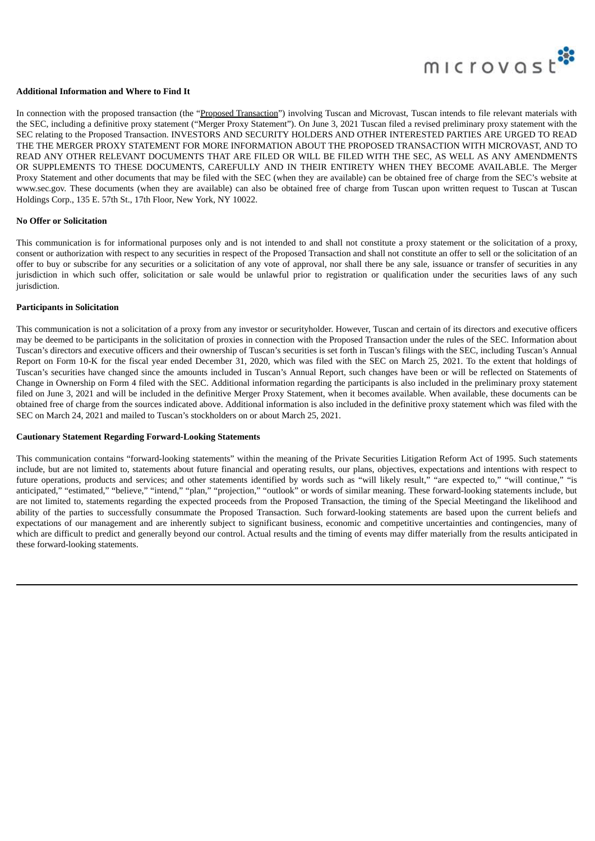

#### **Additional Information and Where to Find It**

In connection with the proposed transaction (the "Proposed Transaction") involving Tuscan and Microvast, Tuscan intends to file relevant materials with the SEC, including a definitive proxy statement ("Merger Proxy Statement"). On June 3, 2021 Tuscan filed a revised preliminary proxy statement with the SEC relating to the Proposed Transaction. INVESTORS AND SECURITY HOLDERS AND OTHER INTERESTED PARTIES ARE URGED TO READ THE THE MERGER PROXY STATEMENT FOR MORE INFORMATION ABOUT THE PROPOSED TRANSACTION WITH MICROVAST, AND TO READ ANY OTHER RELEVANT DOCUMENTS THAT ARE FILED OR WILL BE FILED WITH THE SEC, AS WELL AS ANY AMENDMENTS OR SUPPLEMENTS TO THESE DOCUMENTS, CAREFULLY AND IN THEIR ENTIRETY WHEN THEY BECOME AVAILABLE. The Merger Proxy Statement and other documents that may be filed with the SEC (when they are available) can be obtained free of charge from the SEC's website at www.sec.gov. These documents (when they are available) can also be obtained free of charge from Tuscan upon written request to Tuscan at Tuscan Holdings Corp., 135 E. 57th St., 17th Floor, New York, NY 10022.

#### **No Offer or Solicitation**

This communication is for informational purposes only and is not intended to and shall not constitute a proxy statement or the solicitation of a proxy, consent or authorization with respect to any securities in respect of the Proposed Transaction and shall not constitute an offer to sell or the solicitation of an offer to buy or subscribe for any securities or a solicitation of any vote of approval, nor shall there be any sale, issuance or transfer of securities in any jurisdiction in which such offer, solicitation or sale would be unlawful prior to registration or qualification under the securities laws of any such jurisdiction.

#### **Participants in Solicitation**

This communication is not a solicitation of a proxy from any investor or securityholder. However, Tuscan and certain of its directors and executive officers may be deemed to be participants in the solicitation of proxies in connection with the Proposed Transaction under the rules of the SEC. Information about Tuscan's directors and executive officers and their ownership of Tuscan's securities is set forth in Tuscan's filings with the SEC, including Tuscan's Annual Report on Form 10-K for the fiscal year ended December 31, 2020, which was filed with the SEC on March 25, 2021. To the extent that holdings of Tuscan's securities have changed since the amounts included in Tuscan's Annual Report, such changes have been or will be reflected on Statements of Change in Ownership on Form 4 filed with the SEC. Additional information regarding the participants is also included in the preliminary proxy statement filed on June 3, 2021 and will be included in the definitive Merger Proxy Statement, when it becomes available. When available, these documents can be obtained free of charge from the sources indicated above. Additional information is also included in the definitive proxy statement which was filed with the SEC on March 24, 2021 and mailed to Tuscan's stockholders on or about March 25, 2021.

#### **Cautionary Statement Regarding Forward-Looking Statements**

This communication contains "forward-looking statements" within the meaning of the Private Securities Litigation Reform Act of 1995. Such statements include, but are not limited to, statements about future financial and operating results, our plans, objectives, expectations and intentions with respect to future operations, products and services; and other statements identified by words such as "will likely result," "are expected to," "will continue," "is anticipated," "estimated," "believe," "intend," "plan," "projection," "outlook" or words of similar meaning. These forward-looking statements include, but are not limited to, statements regarding the expected proceeds from the Proposed Transaction, the timing of the Special Meetingand the likelihood and ability of the parties to successfully consummate the Proposed Transaction. Such forward-looking statements are based upon the current beliefs and expectations of our management and are inherently subject to significant business, economic and competitive uncertainties and contingencies, many of which are difficult to predict and generally beyond our control. Actual results and the timing of events may differ materially from the results anticipated in these forward-looking statements.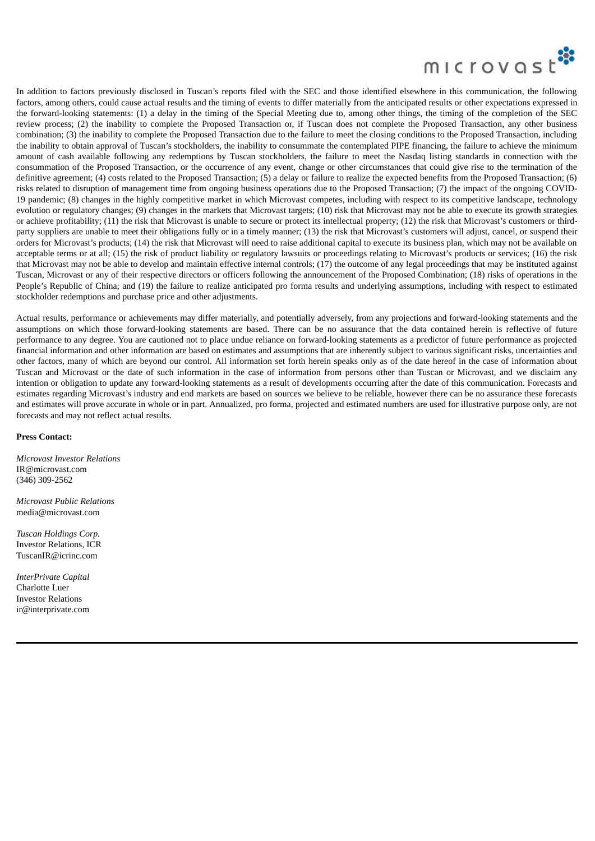

In addition to factors previously disclosed in Tuscan's reports filed with the SEC and those identified elsewhere in this communication, the following factors, among others, could cause actual results and the timing of events to differ materially from the anticipated results or other expectations expressed in the forward-looking statements: (1) a delay in the timing of the Special Meeting due to, among other things, the timing of the completion of the SEC review process; (2) the inability to complete the Proposed Transaction or, if Tuscan does not complete the Proposed Transaction, any other business combination; (3) the inability to complete the Proposed Transaction due to the failure to meet the closing conditions to the Proposed Transaction, including the inability to obtain approval of Tuscan's stockholders, the inability to consummate the contemplated PIPE financing, the failure to achieve the minimum amount of cash available following any redemptions by Tuscan stockholders, the failure to meet the Nasdaq listing standards in connection with the consummation of the Proposed Transaction, or the occurrence of any event, change or other circumstances that could give rise to the termination of the definitive agreement; (4) costs related to the Proposed Transaction; (5) a delay or failure to realize the expected benefits from the Proposed Transaction; (6) risks related to disruption of management time from ongoing business operations due to the Proposed Transaction; (7) the impact of the ongoing COVID-19 pandemic; (8) changes in the highly competitive market in which Microvast competes, including with respect to its competitive landscape, technology evolution or regulatory changes; (9) changes in the markets that Microvast targets; (10) risk that Microvast may not be able to execute its growth strategies or achieve profitability; (11) the risk that Microvast is unable to secure or protect its intellectual property; (12) the risk that Microvast's customers or thirdparty suppliers are unable to meet their obligations fully or in a timely manner; (13) the risk that Microvast's customers will adjust, cancel, or suspend their orders for Microvast's products; (14) the risk that Microvast will need to raise additional capital to execute its business plan, which may not be available on acceptable terms or at all; (15) the risk of product liability or regulatory lawsuits or proceedings relating to Microvast's products or services; (16) the risk that Microvast may not be able to develop and maintain effective internal controls; (17) the outcome of any legal proceedings that may be instituted against Tuscan, Microvast or any of their respective directors or officers following the announcement of the Proposed Combination; (18) risks of operations in the People's Republic of China; and (19) the failure to realize anticipated pro forma results and underlying assumptions, including with respect to estimated stockholder redemptions and purchase price and other adjustments.

Actual results, performance or achievements may differ materially, and potentially adversely, from any projections and forward-looking statements and the assumptions on which those forward-looking statements are based. There can be no assurance that the data contained herein is reflective of future performance to any degree. You are cautioned not to place undue reliance on forward-looking statements as a predictor of future performance as projected financial information and other information are based on estimates and assumptions that are inherently subject to various significant risks, uncertainties and other factors, many of which are beyond our control. All information set forth herein speaks only as of the date hereof in the case of information about Tuscan and Microvast or the date of such information in the case of information from persons other than Tuscan or Microvast, and we disclaim any intention or obligation to update any forward-looking statements as a result of developments occurring after the date of this communication. Forecasts and estimates regarding Microvast's industry and end markets are based on sources we believe to be reliable, however there can be no assurance these forecasts and estimates will prove accurate in whole or in part. Annualized, pro forma, projected and estimated numbers are used for illustrative purpose only, are not forecasts and may not reflect actual results.

#### **Press Contact:**

*Microvast Investor Relations* IR@microvast.com (346) 309-2562

*Microvast Public Relations* media@microvast.com

*Tuscan Holdings Corp.* Investor Relations, ICR TuscanIR@icrinc.com

*InterPrivate Capital* Charlotte Luer Investor Relations ir@interprivate.com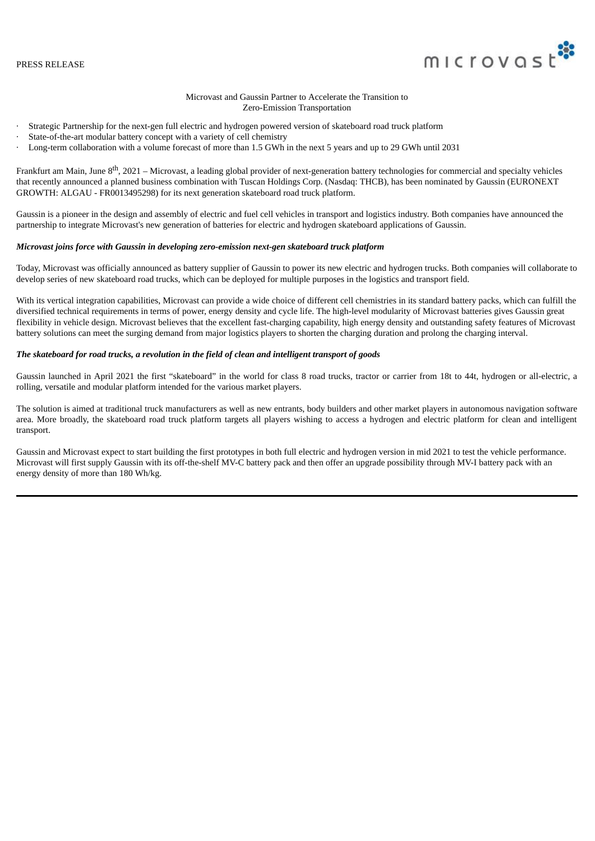

#### Microvast and Gaussin Partner to Accelerate the Transition to Zero-Emission Transportation

- Strategic Partnership for the next-gen full electric and hydrogen powered version of skateboard road truck platform
- State-of-the-art modular battery concept with a variety of cell chemistry
- · Long-term collaboration with a volume forecast of more than 1.5 GWh in the next 5 years and up to 29 GWh until 2031

Frankfurt am Main, June 8<sup>th</sup>, 2021 – Microvast, a leading global provider of next-generation battery technologies for commercial and specialty vehicles that recently announced a planned business combination with Tuscan Holdings Corp. (Nasdaq: THCB), has been nominated by Gaussin (EURONEXT GROWTH: ALGAU - FR0013495298) for its next generation skateboard road truck platform.

Gaussin is a pioneer in the design and assembly of electric and fuel cell vehicles in transport and logistics industry. Both companies have announced the partnership to integrate Microvast's new generation of batteries for electric and hydrogen skateboard applications of Gaussin.

### *Microvast joins force with Gaussin in developing zero-emission next-gen skateboard truck platform*

Today, Microvast was officially announced as battery supplier of Gaussin to power its new electric and hydrogen trucks. Both companies will collaborate to develop series of new skateboard road trucks, which can be deployed for multiple purposes in the logistics and transport field.

With its vertical integration capabilities, Microvast can provide a wide choice of different cell chemistries in its standard battery packs, which can fulfill the diversified technical requirements in terms of power, energy density and cycle life. The high-level modularity of Microvast batteries gives Gaussin great flexibility in vehicle design. Microvast believes that the excellent fast-charging capability, high energy density and outstanding safety features of Microvast battery solutions can meet the surging demand from major logistics players to shorten the charging duration and prolong the charging interval.

## *The skateboard for road trucks, a revolution in the field of clean and intelligent transport of goods*

Gaussin launched in April 2021 the first "skateboard" in the world for class 8 road trucks, tractor or carrier from 18t to 44t, hydrogen or all-electric, a rolling, versatile and modular platform intended for the various market players.

The solution is aimed at traditional truck manufacturers as well as new entrants, body builders and other market players in autonomous navigation software area. More broadly, the skateboard road truck platform targets all players wishing to access a hydrogen and electric platform for clean and intelligent transport.

Gaussin and Microvast expect to start building the first prototypes in both full electric and hydrogen version in mid 2021 to test the vehicle performance. Microvast will first supply Gaussin with its off-the-shelf MV-C battery pack and then offer an upgrade possibility through MV-I battery pack with an energy density of more than 180 Wh/kg.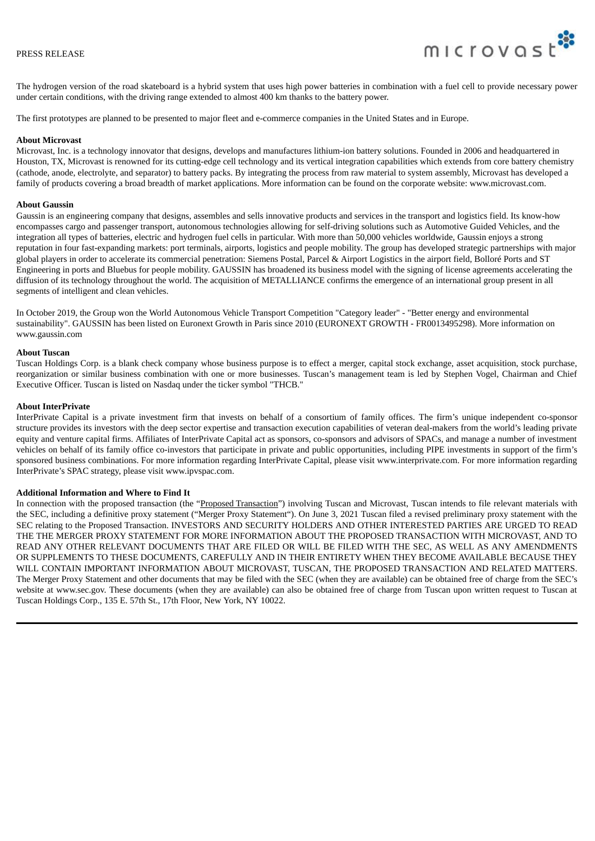### PRESS RELEASE



The hydrogen version of the road skateboard is a hybrid system that uses high power batteries in combination with a fuel cell to provide necessary power under certain conditions, with the driving range extended to almost 400 km thanks to the battery power.

The first prototypes are planned to be presented to major fleet and e-commerce companies in the United States and in Europe.

### **About Microvast**

Microvast, Inc. is a technology innovator that designs, develops and manufactures lithium-ion battery solutions. Founded in 2006 and headquartered in Houston, TX, Microvast is renowned for its cutting-edge cell technology and its vertical integration capabilities which extends from core battery chemistry (cathode, anode, electrolyte, and separator) to battery packs. By integrating the process from raw material to system assembly, Microvast has developed a family of products covering a broad breadth of market applications. More information can be found on the corporate website: www.microvast.com.

#### **About Gaussin**

Gaussin is an engineering company that designs, assembles and sells innovative products and services in the transport and logistics field. Its know-how encompasses cargo and passenger transport, autonomous technologies allowing for self-driving solutions such as Automotive Guided Vehicles, and the integration all types of batteries, electric and hydrogen fuel cells in particular. With more than 50,000 vehicles worldwide, Gaussin enjoys a strong reputation in four fast-expanding markets: port terminals, airports, logistics and people mobility. The group has developed strategic partnerships with major global players in order to accelerate its commercial penetration: Siemens Postal, Parcel & Airport Logistics in the airport field, Bolloré Ports and ST Engineering in ports and Bluebus for people mobility. GAUSSIN has broadened its business model with the signing of license agreements accelerating the diffusion of its technology throughout the world. The acquisition of METALLIANCE confirms the emergence of an international group present in all segments of intelligent and clean vehicles.

In October 2019, the Group won the World Autonomous Vehicle Transport Competition "Category leader" - "Better energy and environmental sustainability". GAUSSIN has been listed on Euronext Growth in Paris since 2010 (EURONEXT GROWTH - FR0013495298). More information on www.gaussin.com

#### **About Tuscan**

Tuscan Holdings Corp. is a blank check company whose business purpose is to effect a merger, capital stock exchange, asset acquisition, stock purchase, reorganization or similar business combination with one or more businesses. Tuscan's management team is led by Stephen Vogel, Chairman and Chief Executive Officer. Tuscan is listed on Nasdaq under the ticker symbol "THCB."

#### **About InterPrivate**

InterPrivate Capital is a private investment firm that invests on behalf of a consortium of family offices. The firm's unique independent co-sponsor structure provides its investors with the deep sector expertise and transaction execution capabilities of veteran deal-makers from the world's leading private equity and venture capital firms. Affiliates of InterPrivate Capital act as sponsors, co-sponsors and advisors of SPACs, and manage a number of investment vehicles on behalf of its family office co-investors that participate in private and public opportunities, including PIPE investments in support of the firm's sponsored business combinations. For more information regarding InterPrivate Capital, please visit www.interprivate.com. For more information regarding InterPrivate's SPAC strategy, please visit www.ipvspac.com.

#### **Additional Information and Where to Find It**

In connection with the proposed transaction (the "Proposed Transaction") involving Tuscan and Microvast, Tuscan intends to file relevant materials with the SEC, including a definitive proxy statement ("Merger Proxy Statement"). On June 3, 2021 Tuscan filed a revised preliminary proxy statement with the SEC relating to the Proposed Transaction. INVESTORS AND SECURITY HOLDERS AND OTHER INTERESTED PARTIES ARE URGED TO READ THE THE MERGER PROXY STATEMENT FOR MORE INFORMATION ABOUT THE PROPOSED TRANSACTION WITH MICROVAST, AND TO READ ANY OTHER RELEVANT DOCUMENTS THAT ARE FILED OR WILL BE FILED WITH THE SEC, AS WELL AS ANY AMENDMENTS OR SUPPLEMENTS TO THESE DOCUMENTS, CAREFULLY AND IN THEIR ENTIRETY WHEN THEY BECOME AVAILABLE BECAUSE THEY WILL CONTAIN IMPORTANT INFORMATION ABOUT MICROVAST, TUSCAN, THE PROPOSED TRANSACTION AND RELATED MATTERS. The Merger Proxy Statement and other documents that may be filed with the SEC (when they are available) can be obtained free of charge from the SEC's website at www.sec.gov. These documents (when they are available) can also be obtained free of charge from Tuscan upon written request to Tuscan at Tuscan Holdings Corp., 135 E. 57th St., 17th Floor, New York, NY 10022.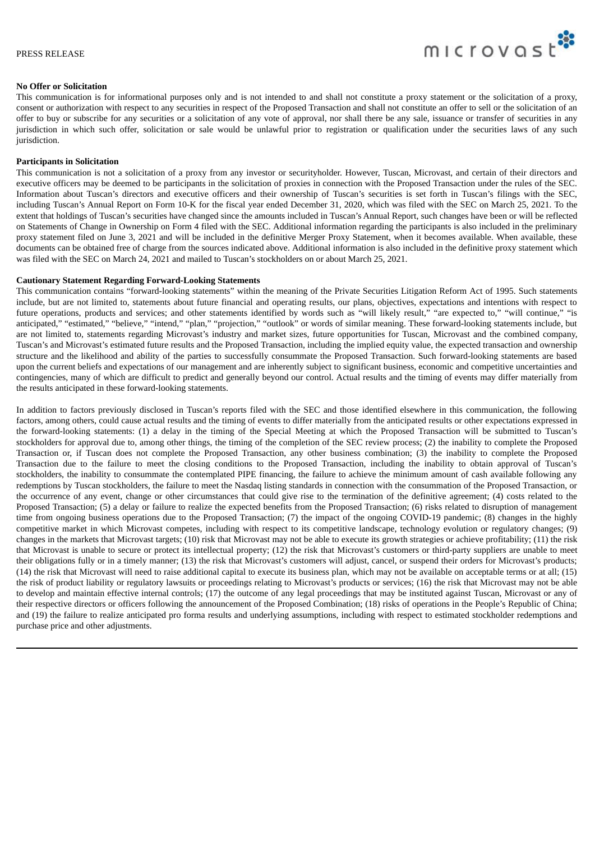

### **No Offer or Solicitation**

This communication is for informational purposes only and is not intended to and shall not constitute a proxy statement or the solicitation of a proxy, consent or authorization with respect to any securities in respect of the Proposed Transaction and shall not constitute an offer to sell or the solicitation of an offer to buy or subscribe for any securities or a solicitation of any vote of approval, nor shall there be any sale, issuance or transfer of securities in any jurisdiction in which such offer, solicitation or sale would be unlawful prior to registration or qualification under the securities laws of any such jurisdiction.

### **Participants in Solicitation**

This communication is not a solicitation of a proxy from any investor or securityholder. However, Tuscan, Microvast, and certain of their directors and executive officers may be deemed to be participants in the solicitation of proxies in connection with the Proposed Transaction under the rules of the SEC. Information about Tuscan's directors and executive officers and their ownership of Tuscan's securities is set forth in Tuscan's filings with the SEC, including Tuscan's Annual Report on Form 10-K for the fiscal year ended December 31, 2020, which was filed with the SEC on March 25, 2021. To the extent that holdings of Tuscan's securities have changed since the amounts included in Tuscan's Annual Report, such changes have been or will be reflected on Statements of Change in Ownership on Form 4 filed with the SEC. Additional information regarding the participants is also included in the preliminary proxy statement filed on June 3, 2021 and will be included in the definitive Merger Proxy Statement, when it becomes available. When available, these documents can be obtained free of charge from the sources indicated above. Additional information is also included in the definitive proxy statement which was filed with the SEC on March 24, 2021 and mailed to Tuscan's stockholders on or about March 25, 2021.

## **Cautionary Statement Regarding Forward-Looking Statements**

This communication contains "forward-looking statements" within the meaning of the Private Securities Litigation Reform Act of 1995. Such statements include, but are not limited to, statements about future financial and operating results, our plans, objectives, expectations and intentions with respect to future operations, products and services; and other statements identified by words such as "will likely result," "are expected to," "will continue," "is anticipated," "estimated," "believe," "intend," "plan," "projection," "outlook" or words of similar meaning. These forward-looking statements include, but are not limited to, statements regarding Microvast's industry and market sizes, future opportunities for Tuscan, Microvast and the combined company, Tuscan's and Microvast's estimated future results and the Proposed Transaction, including the implied equity value, the expected transaction and ownership structure and the likelihood and ability of the parties to successfully consummate the Proposed Transaction. Such forward-looking statements are based upon the current beliefs and expectations of our management and are inherently subject to significant business, economic and competitive uncertainties and contingencies, many of which are difficult to predict and generally beyond our control. Actual results and the timing of events may differ materially from the results anticipated in these forward-looking statements.

In addition to factors previously disclosed in Tuscan's reports filed with the SEC and those identified elsewhere in this communication, the following factors, among others, could cause actual results and the timing of events to differ materially from the anticipated results or other expectations expressed in the forward-looking statements: (1) a delay in the timing of the Special Meeting at which the Proposed Transaction will be submitted to Tuscan's stockholders for approval due to, among other things, the timing of the completion of the SEC review process; (2) the inability to complete the Proposed Transaction or, if Tuscan does not complete the Proposed Transaction, any other business combination; (3) the inability to complete the Proposed Transaction due to the failure to meet the closing conditions to the Proposed Transaction, including the inability to obtain approval of Tuscan's stockholders, the inability to consummate the contemplated PIPE financing, the failure to achieve the minimum amount of cash available following any redemptions by Tuscan stockholders, the failure to meet the Nasdaq listing standards in connection with the consummation of the Proposed Transaction, or the occurrence of any event, change or other circumstances that could give rise to the termination of the definitive agreement; (4) costs related to the Proposed Transaction; (5) a delay or failure to realize the expected benefits from the Proposed Transaction; (6) risks related to disruption of management time from ongoing business operations due to the Proposed Transaction; (7) the impact of the ongoing COVID-19 pandemic; (8) changes in the highly competitive market in which Microvast competes, including with respect to its competitive landscape, technology evolution or regulatory changes; (9) changes in the markets that Microvast targets; (10) risk that Microvast may not be able to execute its growth strategies or achieve profitability; (11) the risk that Microvast is unable to secure or protect its intellectual property; (12) the risk that Microvast's customers or third-party suppliers are unable to meet their obligations fully or in a timely manner; (13) the risk that Microvast's customers will adjust, cancel, or suspend their orders for Microvast's products; (14) the risk that Microvast will need to raise additional capital to execute its business plan, which may not be available on acceptable terms or at all; (15) the risk of product liability or regulatory lawsuits or proceedings relating to Microvast's products or services; (16) the risk that Microvast may not be able to develop and maintain effective internal controls; (17) the outcome of any legal proceedings that may be instituted against Tuscan, Microvast or any of their respective directors or officers following the announcement of the Proposed Combination; (18) risks of operations in the People's Republic of China; and (19) the failure to realize anticipated pro forma results and underlying assumptions, including with respect to estimated stockholder redemptions and purchase price and other adjustments.